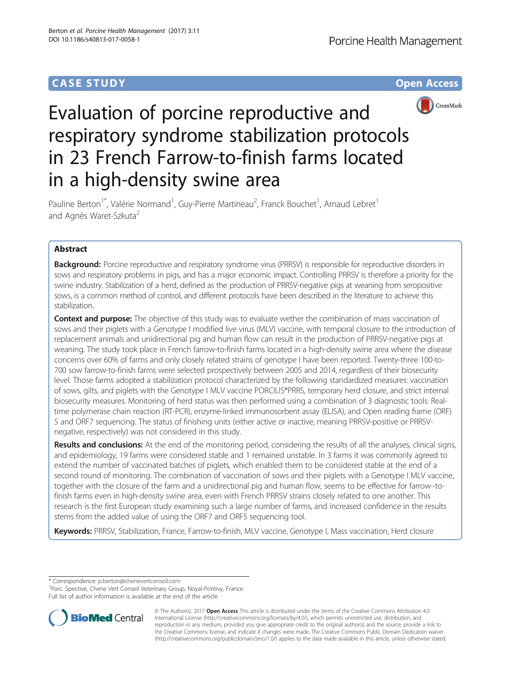## **CASE STUDY CASE STUDY Open Access**



# Evaluation of porcine reproductive and respiratory syndrome stabilization protocols in 23 French Farrow-to-finish farms located in a high-density swine area

Pauline Berton<sup>1\*</sup>, Valérie Normand<sup>1</sup>, Guy-Pierre Martineau<sup>2</sup>, Franck Bouchet<sup>1</sup>, Arnaud Lebret<sup>1</sup> and Agnès Waret-Szkuta<sup>2</sup>

## Abstract

**Background:** Porcine reproductive and respiratory syndrome virus (PRRSV) is responsible for reproductive disorders in sows and respiratory problems in pigs, and has a major economic impact. Controlling PRRSV is therefore a priority for the swine industry. Stabilization of a herd, defined as the production of PRRSV-negative pigs at weaning from seropositive sows, is a common method of control, and different protocols have been described in the literature to achieve this stabilization.

Context and purpose: The objective of this study was to evaluate wether the combination of mass vaccination of sows and their piglets with a Genotype I modified live virus (MLV) vaccine, with temporal closure to the introduction of replacement animals and unidirectional pig and human flow can result in the production of PRRSV-negative pigs at weaning. The study took place in French farrow-to-finish farms located in a high-density swine area where the disease concerns over 60% of farms and only closely related strains of genotype I have been reported. Twenty-three 100-to-700 sow farrow-to-finish farms were selected prospectively between 2005 and 2014, regardless of their biosecurity level. Those farms adopted a stabilization protocol characterized by the following standardized measures: vaccination of sows, gilts, and piglets with the Genotype I MLV vaccine PORCILIS®PRRS, temporary herd closure, and strict internal biosecurity measures. Monitoring of herd status was then performed using a combination of 3 diagnostic tools: Realtime polymerase chain reaction (RT-PCR), enzyme-linked immunosorbent assay (ELISA), and Open reading frame (ORF) 5 and ORF7 sequencing. The status of finishing units (either active or inactive, meaning PRRSV-positive or PRRSVnegative, respectively) was not considered in this study.

Results and conclusions: At the end of the monitoring period, considering the results of all the analyses, clinical signs, and epidemiology, 19 farms were considered stable and 1 remained unstable. In 3 farms it was commonly agreed to extend the number of vaccinated batches of piglets, which enabled them to be considered stable at the end of a second round of monitoring. The combination of vaccination of sows and their piglets with a Genotype I MLV vaccine, together with the closure of the farm and a unidirectional pig and human flow, seems to be effective for farrow–tofinish farms even in high-density swine area, even with French PRRSV strains closely related to one another. This research is the first European study examining such a large number of farms, and increased confidence in the results stems from the added value of using the ORF7 and ORF5 sequencing tool.

Keywords: PRRSV, Stabilization, France, Farrow-to-finish, MLV vaccine, Genotype I, Mass vaccination, Herd closure

\* Correspondence: [p.berton@chenevertconseil.com](mailto:p.berton@chenevertconseil.com) <sup>1</sup>

<sup>&</sup>lt;sup>1</sup>Porc. Spective, Chene Vert Conseil Veterinary Group, Noyal-Pontivy, France Full list of author information is available at the end of the article



© The Author(s). 2017 **Open Access** This article is distributed under the terms of the Creative Commons Attribution 4.0 International License [\(http://creativecommons.org/licenses/by/4.0/](http://creativecommons.org/licenses/by/4.0/)), which permits unrestricted use, distribution, and reproduction in any medium, provided you give appropriate credit to the original author(s) and the source, provide a link to the Creative Commons license, and indicate if changes were made. The Creative Commons Public Domain Dedication waiver [\(http://creativecommons.org/publicdomain/zero/1.0/](http://creativecommons.org/publicdomain/zero/1.0/)) applies to the data made available in this article, unless otherwise stated.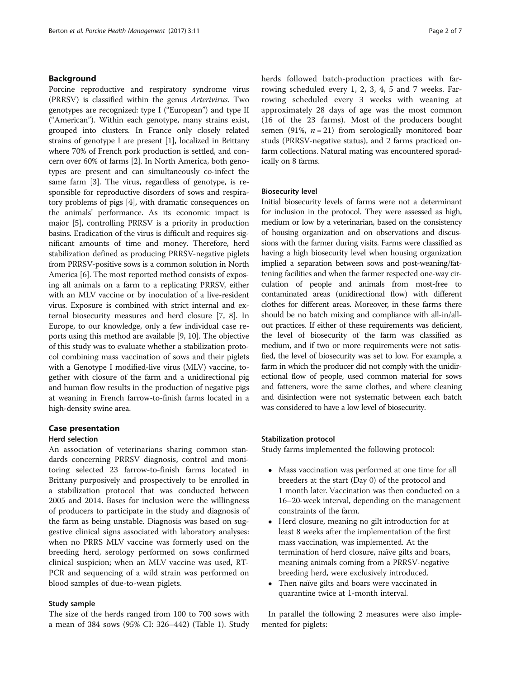## Background

Porcine reproductive and respiratory syndrome virus (PRRSV) is classified within the genus Arterivirus. Two genotypes are recognized: type I ("European") and type II ("American"). Within each genotype, many strains exist, grouped into clusters. In France only closely related strains of genotype I are present [[1](#page-6-0)], localized in Brittany where 70% of French pork production is settled, and concern over 60% of farms [[2\]](#page-6-0). In North America, both genotypes are present and can simultaneously co-infect the same farm [\[3\]](#page-6-0). The virus, regardless of genotype, is responsible for reproductive disorders of sows and respiratory problems of pigs [[4](#page-6-0)], with dramatic consequences on the animals' performance. As its economic impact is major [\[5](#page-6-0)], controlling PRRSV is a priority in production basins. Eradication of the virus is difficult and requires significant amounts of time and money. Therefore, herd stabilization defined as producing PRRSV-negative piglets from PRRSV-positive sows is a common solution in North America [\[6](#page-6-0)]. The most reported method consists of exposing all animals on a farm to a replicating PRRSV, either with an MLV vaccine or by inoculation of a live-resident virus. Exposure is combined with strict internal and external biosecurity measures and herd closure [\[7](#page-6-0), [8\]](#page-6-0). In Europe, to our knowledge, only a few individual case reports using this method are available [\[9](#page-6-0), [10\]](#page-6-0). The objective of this study was to evaluate whether a stabilization protocol combining mass vaccination of sows and their piglets with a Genotype I modified-live virus (MLV) vaccine, together with closure of the farm and a unidirectional pig and human flow results in the production of negative pigs at weaning in French farrow-to-finish farms located in a high-density swine area.

## Case presentation

## Herd selection

An association of veterinarians sharing common standards concerning PRRSV diagnosis, control and monitoring selected 23 farrow-to-finish farms located in Brittany purposively and prospectively to be enrolled in a stabilization protocol that was conducted between 2005 and 2014. Bases for inclusion were the willingness of producers to participate in the study and diagnosis of the farm as being unstable. Diagnosis was based on suggestive clinical signs associated with laboratory analyses: when no PRRS MLV vaccine was formerly used on the breeding herd, serology performed on sows confirmed clinical suspicion; when an MLV vaccine was used, RT-PCR and sequencing of a wild strain was performed on blood samples of due-to-wean piglets.

## Study sample

The size of the herds ranged from 100 to 700 sows with a mean of 384 sows (95% CI: 326–442) (Table [1](#page-2-0)). Study herds followed batch-production practices with farrowing scheduled every 1, 2, 3, 4, 5 and 7 weeks. Farrowing scheduled every 3 weeks with weaning at approximately 28 days of age was the most common (16 of the 23 farms). Most of the producers bought semen (91%,  $n = 21$ ) from serologically monitored boar studs (PRRSV-negative status), and 2 farms practiced onfarm collections. Natural mating was encountered sporadically on 8 farms.

## Biosecurity level

Initial biosecurity levels of farms were not a determinant for inclusion in the protocol. They were assessed as high, medium or low by a veterinarian, based on the consistency of housing organization and on observations and discussions with the farmer during visits. Farms were classified as having a high biosecurity level when housing organization implied a separation between sows and post-weaning/fattening facilities and when the farmer respected one-way circulation of people and animals from most-free to contaminated areas (unidirectional flow) with different clothes for different areas. Moreover, in these farms there should be no batch mixing and compliance with all-in/allout practices. If either of these requirements was deficient, the level of biosecurity of the farm was classified as medium, and if two or more requirements were not satisfied, the level of biosecurity was set to low. For example, a farm in which the producer did not comply with the unidirectional flow of people, used common material for sows and fatteners, wore the same clothes, and where cleaning and disinfection were not systematic between each batch was considered to have a low level of biosecurity.

## Stabilization protocol

Study farms implemented the following protocol:

- Mass vaccination was performed at one time for all breeders at the start (Day 0) of the protocol and 1 month later. Vaccination was then conducted on a 16–20-week interval, depending on the management constraints of the farm.
- Herd closure, meaning no gilt introduction for at least 8 weeks after the implementation of the first mass vaccination, was implemented. At the termination of herd closure, naïve gilts and boars, meaning animals coming from a PRRSV-negative breeding herd, were exclusively introduced.
- Then naïve gilts and boars were vaccinated in quarantine twice at 1-month interval.

In parallel the following 2 measures were also implemented for piglets: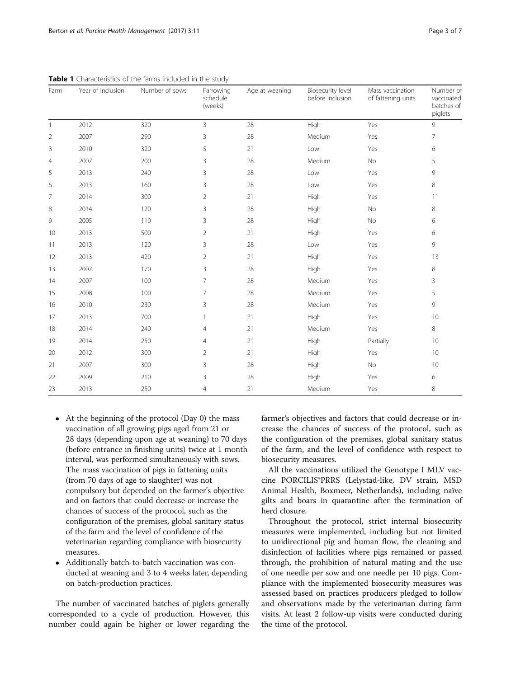| Farm           | Year of inclusion | <b>C I</b> Characteristics of the farms included in the study<br>Number of sows | Farrowing<br>schedule<br>(weeks) | Age at weaning | Biosecurity level<br>before inclusion | Mass vaccination<br>of fattening units | Number of<br>vaccinated<br>batches of<br>piglets |
|----------------|-------------------|---------------------------------------------------------------------------------|----------------------------------|----------------|---------------------------------------|----------------------------------------|--------------------------------------------------|
| $\mathbf{1}$   | 2012              | 320                                                                             | 3                                | 28             | High                                  | Yes                                    | 9                                                |
| $\overline{2}$ | 2007              | 290                                                                             | 3                                | 28             | Medium                                | Yes                                    | $\overline{7}$                                   |
| 3              | 2010              | 320                                                                             | 5                                | 21             | Low                                   | Yes                                    | 6                                                |
| $\overline{4}$ | 2007              | 200                                                                             | 3                                | 28             | Medium                                | No                                     | 5                                                |
| 5              | 2013              | 240                                                                             | 3                                | 28             | Low                                   | Yes                                    | 9                                                |
| 6              | 2013              | 160                                                                             | 3                                | 28             | Low                                   | Yes                                    | $\,8\,$                                          |
| $\overline{7}$ | 2014              | 300                                                                             | $\overline{2}$                   | 21             | High                                  | Yes                                    | 11                                               |
| 8              | 2014              | 120                                                                             | 3                                | 28             | High                                  | <b>No</b>                              | 8                                                |
| 9              | 2005              | 110                                                                             | 3                                | 28             | High                                  | No                                     | 6                                                |
| 10             | 2013              | 500                                                                             | $\overline{2}$                   | 21             | High                                  | Yes                                    | 6                                                |
| 11             | 2013              | 120                                                                             | 3                                | 28             | Low                                   | Yes                                    | 9                                                |
| 12             | 2013              | 420                                                                             | $\overline{2}$                   | 21             | High                                  | Yes                                    | 13                                               |
| 13             | 2007              | 170                                                                             | 3                                | 28             | High                                  | Yes                                    | $\,8\,$                                          |
| 14             | 2007              | 100                                                                             | $\overline{7}$                   | 28             | Medium                                | Yes                                    | 3                                                |
| 15             | 2008              | 100                                                                             | $\overline{7}$                   | 28             | Medium                                | Yes                                    | 5                                                |
| 16             | 2010              | 230                                                                             | 3                                | 28             | Medium                                | Yes                                    | 9                                                |
| 17             | 2013              | 700                                                                             | 1                                | 21             | High                                  | Yes                                    | 10                                               |
| 18             | 2014              | 240                                                                             | 4                                | 21             | Medium                                | Yes                                    | 8                                                |
| 19             | 2014              | 250                                                                             | $\overline{4}$                   | 21             | High                                  | Partially                              | 10                                               |
| 20             | 2012              | 300                                                                             | $\overline{2}$                   | 21             | High                                  | Yes                                    | 10                                               |
| 21             | 2007              | 300                                                                             | 3                                | 28             | High                                  | No                                     | 10                                               |
| 22             | 2009              | 210                                                                             | 3                                | 28             | High                                  | Yes                                    | 6                                                |
| 23             | 2013              | 250                                                                             | $\overline{4}$                   | 21             | Medium                                | Yes                                    | $\,8\,$                                          |

<span id="page-2-0"></span>Table 1 Characteristics of the farms included in the study

- At the beginning of the protocol (Day 0) the mass vaccination of all growing pigs aged from 21 or 28 days (depending upon age at weaning) to 70 days (before entrance in finishing units) twice at 1 month interval, was performed simultaneously with sows. The mass vaccination of pigs in fattening units (from 70 days of age to slaughter) was not compulsory but depended on the farmer's objective and on factors that could decrease or increase the chances of success of the protocol, such as the configuration of the premises, global sanitary status of the farm and the level of confidence of the veterinarian regarding compliance with biosecurity measures.
- Additionally batch-to-batch vaccination was conducted at weaning and 3 to 4 weeks later, depending on batch-production practices.

The number of vaccinated batches of piglets generally corresponded to a cycle of production. However, this number could again be higher or lower regarding the farmer's objectives and factors that could decrease or increase the chances of success of the protocol, such as the configuration of the premises, global sanitary status of the farm, and the level of confidence with respect to biosecurity measures.

All the vaccinations utilized the Genotype I MLV vaccine PORCILIS®PRRS (Lelystad-like, DV strain, MSD Animal Health, Boxmeer, Netherlands), including naïve gilts and boars in quarantine after the termination of herd closure.

Throughout the protocol, strict internal biosecurity measures were implemented, including but not limited to unidirectional pig and human flow, the cleaning and disinfection of facilities where pigs remained or passed through, the prohibition of natural mating and the use of one needle per sow and one needle per 10 pigs. Compliance with the implemented biosecurity measures was assessed based on practices producers pledged to follow and observations made by the veterinarian during farm visits. At least 2 follow-up visits were conducted during the time of the protocol.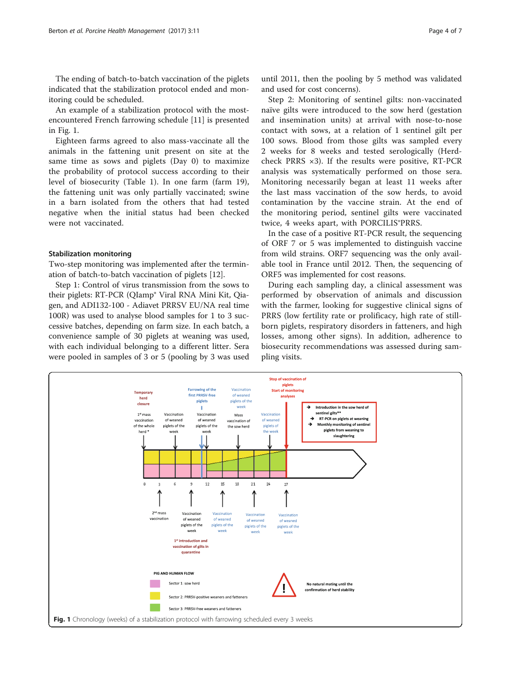The ending of batch-to-batch vaccination of the piglets indicated that the stabilization protocol ended and monitoring could be scheduled.

An example of a stabilization protocol with the mostencountered French farrowing schedule [[11](#page-6-0)] is presented in Fig. 1.

Eighteen farms agreed to also mass-vaccinate all the animals in the fattening unit present on site at the same time as sows and piglets (Day 0) to maximize the probability of protocol success according to their level of biosecurity (Table [1\)](#page-2-0). In one farm (farm 19), the fattening unit was only partially vaccinated; swine in a barn isolated from the others that had tested negative when the initial status had been checked were not vaccinated.

## Stabilization monitoring

Two-step monitoring was implemented after the termination of batch-to-batch vaccination of piglets [\[12](#page-6-0)].

Step 1: Control of virus transmission from the sows to their piglets: RT-PCR (QIamp® Viral RNA Mini Kit, Qiagen, and ADI132-100 - Adiavet PRRSV EU/NA real time 100R) was used to analyse blood samples for 1 to 3 successive batches, depending on farm size. In each batch, a convenience sample of 30 piglets at weaning was used, with each individual belonging to a different litter. Sera were pooled in samples of 3 or 5 (pooling by 3 was used

until 2011, then the pooling by 5 method was validated and used for cost concerns).

Step 2: Monitoring of sentinel gilts: non-vaccinated naïve gilts were introduced to the sow herd (gestation and insemination units) at arrival with nose-to-nose contact with sows, at a relation of 1 sentinel gilt per 100 sows. Blood from those gilts was sampled every 2 weeks for 8 weeks and tested serologically (Herdcheck PRRS  $\times$ 3). If the results were positive, RT-PCR analysis was systematically performed on those sera. Monitoring necessarily began at least 11 weeks after the last mass vaccination of the sow herds, to avoid contamination by the vaccine strain. At the end of the monitoring period, sentinel gilts were vaccinated twice, 4 weeks apart, with PORCILIS®PRRS.

In the case of a positive RT-PCR result, the sequencing of ORF 7 or 5 was implemented to distinguish vaccine from wild strains. ORF7 sequencing was the only available tool in France until 2012. Then, the sequencing of ORF5 was implemented for cost reasons.

During each sampling day, a clinical assessment was performed by observation of animals and discussion with the farmer, looking for suggestive clinical signs of PRRS (low fertility rate or prolificacy, high rate of stillborn piglets, respiratory disorders in fatteners, and high losses, among other signs). In addition, adherence to biosecurity recommendations was assessed during sampling visits.

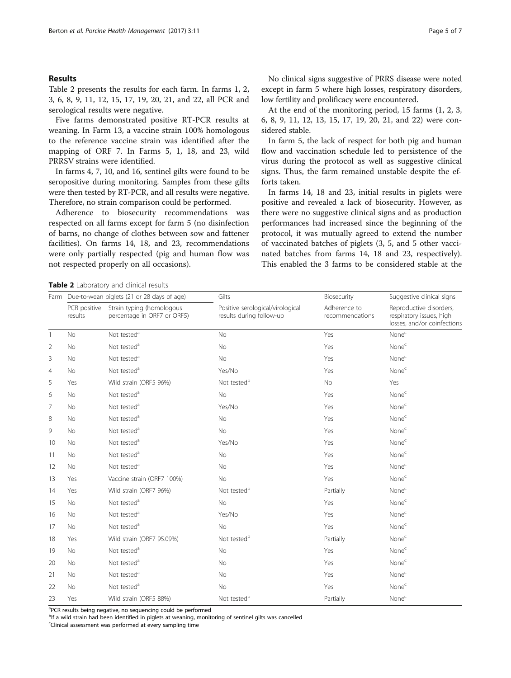## Results

Table 2 presents the results for each farm. In farms 1, 2, 3, 6, 8, 9, 11, 12, 15, 17, 19, 20, 21, and 22, all PCR and serological results were negative.

Five farms demonstrated positive RT-PCR results at weaning. In Farm 13, a vaccine strain 100% homologous to the reference vaccine strain was identified after the mapping of ORF 7. In Farms 5, 1, 18, and 23, wild PRRSV strains were identified.

In farms 4, 7, 10, and 16, sentinel gilts were found to be seropositive during monitoring. Samples from these gilts were then tested by RT-PCR, and all results were negative. Therefore, no strain comparison could be performed.

Adherence to biosecurity recommendations was respected on all farms except for farm 5 (no disinfection of barns, no change of clothes between sow and fattener facilities). On farms 14, 18, and 23, recommendations were only partially respected (pig and human flow was not respected properly on all occasions).

No clinical signs suggestive of PRRS disease were noted except in farm 5 where high losses, respiratory disorders, low fertility and prolificacy were encountered.

At the end of the monitoring period, 15 farms (1, 2, 3, 6, 8, 9, 11, 12, 13, 15, 17, 19, 20, 21, and 22) were considered stable.

In farm 5, the lack of respect for both pig and human flow and vaccination schedule led to persistence of the virus during the protocol as well as suggestive clinical signs. Thus, the farm remained unstable despite the efforts taken.

In farms 14, 18 and 23, initial results in piglets were positive and revealed a lack of biosecurity. However, as there were no suggestive clinical signs and as production performances had increased since the beginning of the protocol, it was mutually agreed to extend the number of vaccinated batches of piglets (3, 5, and 5 other vaccinated batches from farms 14, 18 and 23, respectively). This enabled the 3 farms to be considered stable at the

Table 2 Laboratory and clinical results

<sup>b</sup>lf a wild strain had been identified in piglets at weaning, monitoring of sentinel gilts was cancelled

c Clinical assessment was performed at every sampling time

|                | Farm Due-to-wean piglets (21 or 28 days of age) |                                                          | Gilts                                                        | Biosecurity                     | Suggestive clinical signs                                                          |  |
|----------------|-------------------------------------------------|----------------------------------------------------------|--------------------------------------------------------------|---------------------------------|------------------------------------------------------------------------------------|--|
|                | PCR positive<br>results                         | Strain typing (homologous<br>percentage in ORF7 or ORF5) | Positive serological/virological<br>results during follow-up | Adherence to<br>recommendations | Reproductive disorders,<br>respiratory issues, high<br>losses, and/or coinfections |  |
| $\mathbf{1}$   | No                                              | Not tested <sup>a</sup>                                  | <b>No</b>                                                    | Yes                             | None <sup>c</sup>                                                                  |  |
| 2              | No                                              | Not tested <sup>a</sup>                                  | No                                                           | Yes                             | None <sup>c</sup>                                                                  |  |
| 3              | No                                              | Not tested <sup>a</sup>                                  | No                                                           | Yes                             | None <sup>c</sup>                                                                  |  |
| $\overline{4}$ | <b>No</b>                                       | Not tested <sup>a</sup>                                  | Yes/No                                                       | Yes                             | None <sup>c</sup>                                                                  |  |
| 5              | Yes                                             | Wild strain (ORF5 96%)                                   | Not tested <sup>b</sup>                                      | No                              | Yes                                                                                |  |
| 6              | No                                              | Not tested <sup>a</sup>                                  | No                                                           | Yes                             | None <sup>c</sup>                                                                  |  |
| $\overline{7}$ | No                                              | Not tested <sup>a</sup>                                  | Yes/No                                                       | Yes                             | None <sup>c</sup>                                                                  |  |
| 8              | No                                              | Not tested <sup>a</sup>                                  | No                                                           | Yes                             | None <sup>c</sup>                                                                  |  |
| 9              | No                                              | Not tested <sup>a</sup>                                  | No                                                           | Yes                             | None <sup>c</sup>                                                                  |  |
| 10             | <b>No</b>                                       | Not tested <sup>a</sup>                                  | Yes/No                                                       | Yes                             | None <sup>c</sup>                                                                  |  |
| 11             | No                                              | Not tested <sup>a</sup>                                  | No                                                           | Yes                             | None <sup>c</sup>                                                                  |  |
| 12             | No                                              | Not tested <sup>a</sup>                                  | <b>No</b>                                                    | Yes                             | None <sup>c</sup>                                                                  |  |
| 13             | Yes                                             | Vaccine strain (ORF7 100%)                               | <b>No</b>                                                    | Yes                             | None <sup>c</sup>                                                                  |  |
| 14             | Yes                                             | Wild strain (ORF7 96%)                                   | Not tested <sup>b</sup>                                      | Partially                       | None <sup>c</sup>                                                                  |  |
| 15             | No                                              | Not tested <sup>a</sup>                                  | No                                                           | Yes                             | None <sup>c</sup>                                                                  |  |
| 16             | No                                              | Not tested <sup>a</sup>                                  | Yes/No                                                       | Yes                             | None <sup>c</sup>                                                                  |  |
| 17             | <b>No</b>                                       | Not tested <sup>a</sup>                                  | <b>No</b>                                                    | Yes                             | None <sup>c</sup>                                                                  |  |
| 18             | Yes                                             | Wild strain (ORF7 95.09%)                                | Not tested <sup>b</sup>                                      | Partially                       | None <sup>c</sup>                                                                  |  |
| 19             | No                                              | Not tested <sup>a</sup>                                  | No                                                           | Yes                             | None <sup>c</sup>                                                                  |  |
| 20             | No                                              | Not tested <sup>a</sup>                                  | No                                                           | Yes                             | None <sup>c</sup>                                                                  |  |
| 21             | No                                              | Not tested <sup>a</sup>                                  | No                                                           | Yes                             | None <sup>c</sup>                                                                  |  |
| 22             | No                                              | Not tested <sup>a</sup>                                  | No                                                           | Yes                             | None <sup>c</sup>                                                                  |  |
| 23             | Yes                                             | Wild strain (ORF5 88%)                                   | Not tested <sup>b</sup>                                      | Partially                       | None <sup>c</sup>                                                                  |  |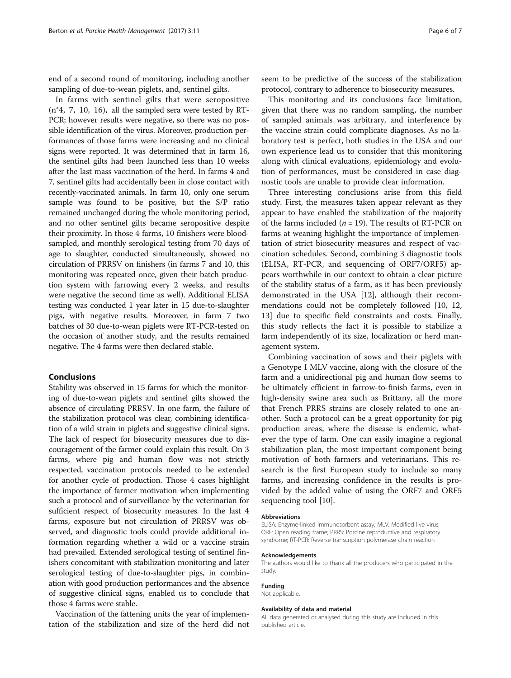end of a second round of monitoring, including another sampling of due-to-wean piglets, and, sentinel gilts.

In farms with sentinel gilts that were seropositive (n°4, 7, 10, 16), all the sampled sera were tested by RT-PCR; however results were negative, so there was no possible identification of the virus. Moreover, production performances of those farms were increasing and no clinical signs were reported. It was determined that in farm 16, the sentinel gilts had been launched less than 10 weeks after the last mass vaccination of the herd. In farms 4 and 7, sentinel gilts had accidentally been in close contact with recently-vaccinated animals. In farm 10, only one serum sample was found to be positive, but the S/P ratio remained unchanged during the whole monitoring period, and no other sentinel gilts became seropositive despite their proximity. In those 4 farms, 10 finishers were bloodsampled, and monthly serological testing from 70 days of age to slaughter, conducted simultaneously, showed no circulation of PRRSV on finishers (in farms 7 and 10, this monitoring was repeated once, given their batch production system with farrowing every 2 weeks, and results were negative the second time as well). Additional ELISA testing was conducted 1 year later in 15 due-to-slaughter pigs, with negative results. Moreover, in farm 7 two batches of 30 due-to-wean piglets were RT-PCR-tested on the occasion of another study, and the results remained negative. The 4 farms were then declared stable.

### Conclusions

Stability was observed in 15 farms for which the monitoring of due-to-wean piglets and sentinel gilts showed the absence of circulating PRRSV. In one farm, the failure of the stabilization protocol was clear, combining identification of a wild strain in piglets and suggestive clinical signs. The lack of respect for biosecurity measures due to discouragement of the farmer could explain this result. On 3 farms, where pig and human flow was not strictly respected, vaccination protocols needed to be extended for another cycle of production. Those 4 cases highlight the importance of farmer motivation when implementing such a protocol and of surveillance by the veterinarian for sufficient respect of biosecurity measures. In the last 4 farms, exposure but not circulation of PRRSV was observed, and diagnostic tools could provide additional information regarding whether a wild or a vaccine strain had prevailed. Extended serological testing of sentinel finishers concomitant with stabilization monitoring and later serological testing of due-to-slaughter pigs, in combination with good production performances and the absence of suggestive clinical signs, enabled us to conclude that those 4 farms were stable.

Vaccination of the fattening units the year of implementation of the stabilization and size of the herd did not

seem to be predictive of the success of the stabilization protocol, contrary to adherence to biosecurity measures.

This monitoring and its conclusions face limitation, given that there was no random sampling, the number of sampled animals was arbitrary, and interference by the vaccine strain could complicate diagnoses. As no laboratory test is perfect, both studies in the USA and our own experience lead us to consider that this monitoring along with clinical evaluations, epidemiology and evolution of performances, must be considered in case diagnostic tools are unable to provide clear information.

Three interesting conclusions arise from this field study. First, the measures taken appear relevant as they appear to have enabled the stabilization of the majority of the farms included ( $n = 19$ ). The results of RT-PCR on farms at weaning highlight the importance of implementation of strict biosecurity measures and respect of vaccination schedules. Second, combining 3 diagnostic tools (ELISA, RT-PCR, and sequencing of ORF7/ORF5) appears worthwhile in our context to obtain a clear picture of the stability status of a farm, as it has been previously demonstrated in the USA [[12\]](#page-6-0), although their recommendations could not be completely followed [[10, 12](#page-6-0), [13\]](#page-6-0) due to specific field constraints and costs. Finally, this study reflects the fact it is possible to stabilize a farm independently of its size, localization or herd management system.

Combining vaccination of sows and their piglets with a Genotype I MLV vaccine, along with the closure of the farm and a unidirectional pig and human flow seems to be ultimately efficient in farrow-to-finish farms, even in high-density swine area such as Brittany, all the more that French PRRS strains are closely related to one another. Such a protocol can be a great opportunity for pig production areas, where the disease is endemic, whatever the type of farm. One can easily imagine a regional stabilization plan, the most important component being motivation of both farmers and veterinarians. This research is the first European study to include so many farms, and increasing confidence in the results is provided by the added value of using the ORF7 and ORF5 sequencing tool [\[10](#page-6-0)].

#### Abbreviations

ELISA: Enzyme-linked immunosorbent assay; MLV: Modified live virus; ORF: Open reading frame; PRRS: Porcine reproductive and respiratory syndrome; RT-PCR: Reverse transcription polymerase chain reaction

#### Acknowledgements

The authors would like to thank all the producers who participated in the study.

#### Funding

Not applicable.

#### Availability of data and material

All data generated or analysed during this study are included in this published article.